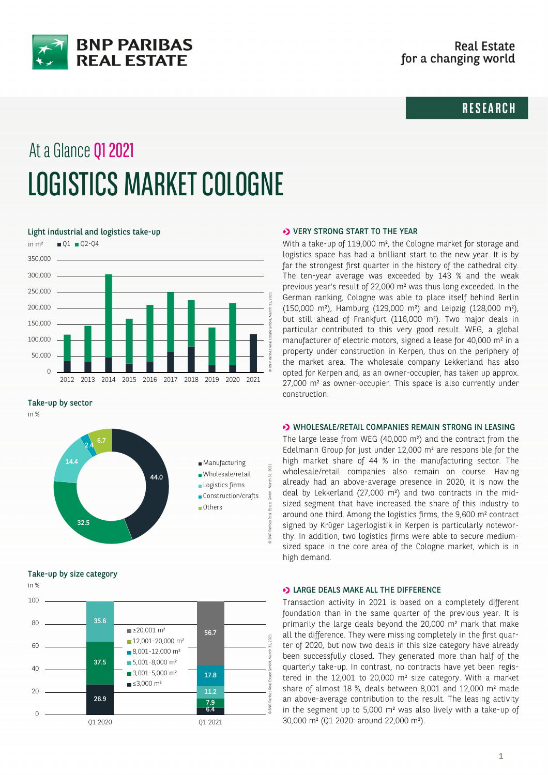

# **RESEARCH**

# At a Glance Q1 2021 LOGISTICS MARKET COLOGNE

#### Light industrial and logistics take-up



Take-up by sector

in %



Take-up by size category



#### **>>** VERY STRONG START TO THE YEAR

With a take-up of 119,000 m², the Cologne market for storage and logistics space has had a brilliant start to the new year. It is by far the strongest first quarter in the history of the cathedral city. The ten-year average was exceeded by 143 % and the weak previous year's result of 22,000 m² was thus long exceeded. In the German ranking, Cologne was able to place itself behind Berlin (150,000 m²), Hamburg (129,000 m²) and Leipzig (128,000 m²), but still ahead of Frankfurt (116,000 m²). Two major deals in particular contributed to this very good result. WEG, a global manufacturer of electric motors, signed a lease for 40,000 m² in a property under construction in Kerpen, thus on the periphery of the market area. The wholesale company Lekkerland has also opted for Kerpen and, as an owner-occupier, has taken up approx. 27,000 m² as owner-occupier. This space is also currently under construction.

#### **D** WHOLESALE/RETAIL COMPANIES REMAIN STRONG IN LEASING

The large lease from WEG (40,000 m²) and the contract from the Edelmann Group for just under 12,000 m² are responsible for the high market share of 44 % in the manufacturing sector. The wholesale/retail companies also remain on course. Having already had an above-average presence in 2020, it is now the deal by Lekkerland (27,000 m²) and two contracts in the midsized segment that have increased the share of this industry to around one third. Among the logistics firms, the 9,600 m² contract signed by Krüger Lagerlogistik in Kerpen is particularly noteworthy. In addition, two logistics firms were able to secure mediumsized space in the core area of the Cologne market, which is in high demand.

## **D** LARGE DEALS MAKE ALL THE DIFFERENCE

Transaction activity in 2021 is based on a completely different foundation than in the same quarter of the previous year. It is primarily the large deals beyond the 20,000 m² mark that make all the difference. They were missing completely in the first quarter of 2020, but now two deals in this size category have already been successfully closed. They generated more than half of the quarterly take-up. In contrast, no contracts have yet been registered in the 12,001 to 20,000 m² size category. With a market share of almost 18 %, deals between 8,001 and 12,000 m² made an above-average contribution to the result. The leasing activity in the segment up to 5,000 m² was also lively with a take-up of 30,000 m² (Q1 2020: around 22,000 m²).